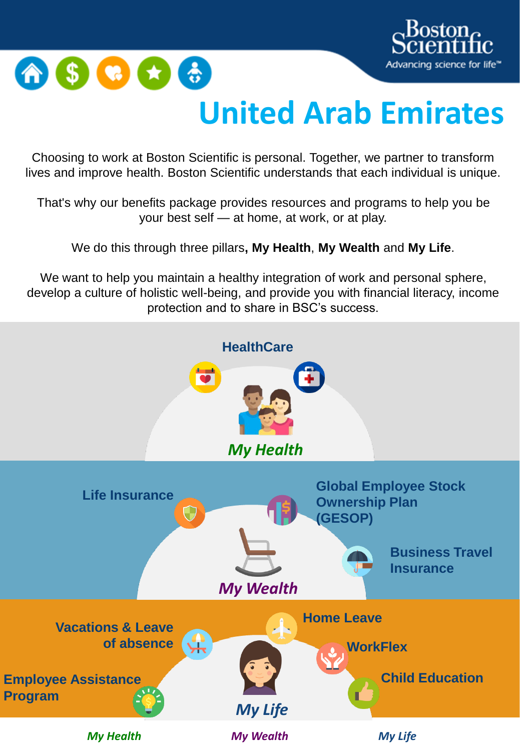



## **United Arab Emirates**

Choosing to work at Boston Scientific is personal. Together, we partner to transform lives and improve health. Boston Scientific understands that each individual is unique.

That's why our benefits package provides resources and programs to help you be your best self — at home, at work, or at play.

We do this through three pillars**, My Health**, **My Wealth** and **My Life**.

We want to help you maintain a healthy integration of work and personal sphere, develop a culture of holistic well-being, and provide you with financial literacy, income protection and to share in BSC's success.

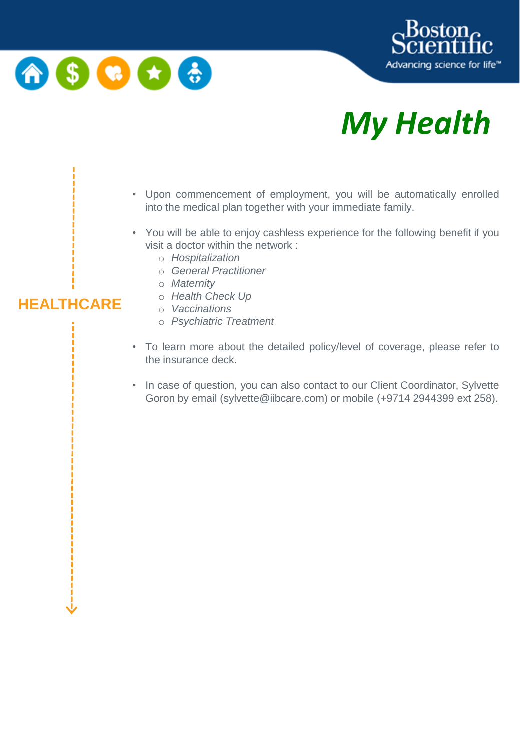

**HEALTHCARE**



# *My Health*

- Upon commencement of employment, you will be automatically enrolled into the medical plan together with your immediate family.
- You will be able to enjoy cashless experience for the following benefit if you visit a doctor within the network :
	- o *Hospitalization*
	- o *General Practitioner*
	- o *Maternity*
	- o *Health Check Up*
	- o *Vaccinations*
	- o *Psychiatric Treatment*
- To learn more about the detailed policy/level of coverage, please refer to the insurance deck.
- In case of question, you can also contact to our Client Coordinator, Sylvette Goron by email (sylvette@iibcare.com) or mobile (+9714 2944399 ext 258).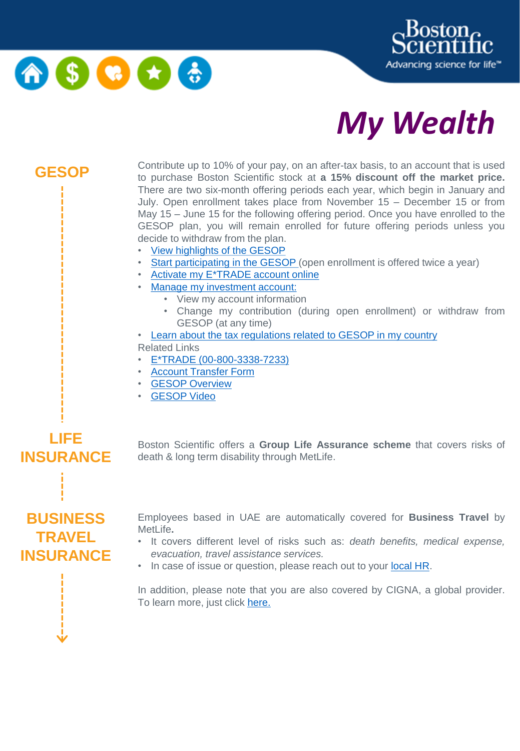





**GESOP** Contribute up to 10% of your pay, on an after-tax basis, to an account that is used<br>**GESOP** to purphase Rectan Scientific stack at a 45% discount off the market price to purchase Boston Scientific stock at **a 15% discount off the market price.** There are two six-month offering periods each year, which begin in January and July. Open enrollment takes place from November 15 – December 15 or from May 15 – June 15 for the following offering period. Once you have enrolled to the GESOP plan, you will remain enrolled for future offering periods unless you decide to withdraw from the plan.

- View [highlights](https://bostonscientific.a.guidespark.com/videos/15541) of the GESOP
- Start [participating](https://corpserviceshome.etrade.com/e/t/olen/OLENEsppLogin?vanity=enroll) in the GESOP (open enrollment is offered twice a year)
- Activate my [E\\*TRADE](http://inside.bsci.com/sites/Compensation/Documents/international_account_activation.pdf) account online
- Manage my [investment](https://us.etrade.com/home) account:
	- View my account information
	- Change my contribution (during open enrollment) or withdraw from GESOP (at any time)
- Learn about the tax [regulations](http://inside.bsci.com/sites/Compensation/Documents/GESOP%20Tax%20Supplemant) related to GESOP in my country
- Related Links
- E\*TRADE [\(00-800-3338-7233\)](https://us.etrade.com/home)
- Account [Transfer](http://inside.bsci.com/sites/Compensation/Documents/GESOP_US%20Factsheet%20OE%20Letter_Nov2016.pdf) Form
- GESOP [Overview](https://www.brainshark.com/bsci/vu?pi=zEnzdGI69zLS01z0&intk=539182101)
- [GESOP](https://bostonscientific.a.guidespark.com/videos/15541) Video

# **LIFE INSURANCE BUSINESS TRAVEL INSURANCE**

Boston Scientific offers a **Group Life Assurance scheme** that covers risks of death & long term disability through MetLife.

Employees based in UAE are automatically covered for **Business Travel** by MetLife**.**

- It covers different level of risks such as: *death benefits, medical expense, evacuation, travel assistance services.*
- In case of issue or question, please reach out to your [local](mailto:Sharon.DCosta@bsci.com) HR.

In addition, please note that you are also covered by CIGNA, a global provider. To learn more, just click [here.](http://inside.bsci.com/sites/GlobalSecurity/Documents/Cigna%20(MBA)%20Summary%20%20FINAL%20%204.26.2019.pdf)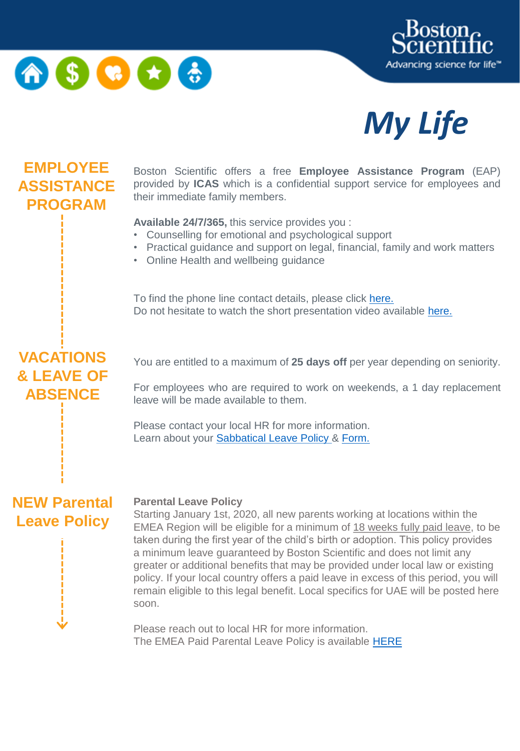





#### **EMPLOYEE ASSISTANCE PROGRAM**

Boston Scientific offers a free **Employee Assistance Program** (EAP) provided by **ICAS** which is a confidential support service for employees and their immediate family members.

**Available 24/7/365,** this service provides you :

- Counselling for emotional and psychological support
- Practical guidance and support on legal, financial, family and work matters
- Online Health and wellbeing guidance

To find the phone line contact details, please click [here.](http://inside.bsci.com/sites/Europe/Pages/2017_08/Work-Life-Balance.aspx) Do not hesitate to watch the short presentation video available [here.](https://mercury.icaslifestyle.com/media/597013/en-axa-icas-short-music.mp4)

#### **VACATIONS & LEAVE OF ABSENCE**

You are entitled to a maximum of **25 days off** per year depending on seniority.

For employees who are required to work on weekends, a 1 day replacement leave will be made available to them.

Please contact your local HR for more information. Learn about your [Sabbatical](https://secure.bscbenefitsconnect.com/europe/pdf/sabfaq.pdf) Leave Policy & [Form.](https://3abed68c-41f8-43a1-a7a0-f80ccbb1ded4-hosted.cloudcms.net/static/test.pdf?repository=5806d444c717deabe6fc&branch=956f6d1d79eef20c2b37&node=d427de3db01e378f64fb&attachment=sabbaticalform)

#### **NEW Parental Leave Policy**

#### **Parental Leave Policy**

Starting January 1st, 2020, all new parents working at locations within the EMEA Region will be eligible for a minimum of 18 weeks fully paid leave, to be taken during the first year of the child's birth or adoption. This policy provides a minimum leave guaranteed by Boston Scientific and does not limit any greater or additional benefits that may be provided under local law or existing policy. If your local country offers a paid leave in excess of this period, you will remain eligible to this legal benefit. Local specifics for UAE will be posted here soon.

Please reach out to local HR for more information. The EMEA Paid Parental Leave Policy is available **[HERE](http://inside.bsci.com/PoliciesCentral/Parental Leave EMEA Policy_Sept 2020.pdf)**